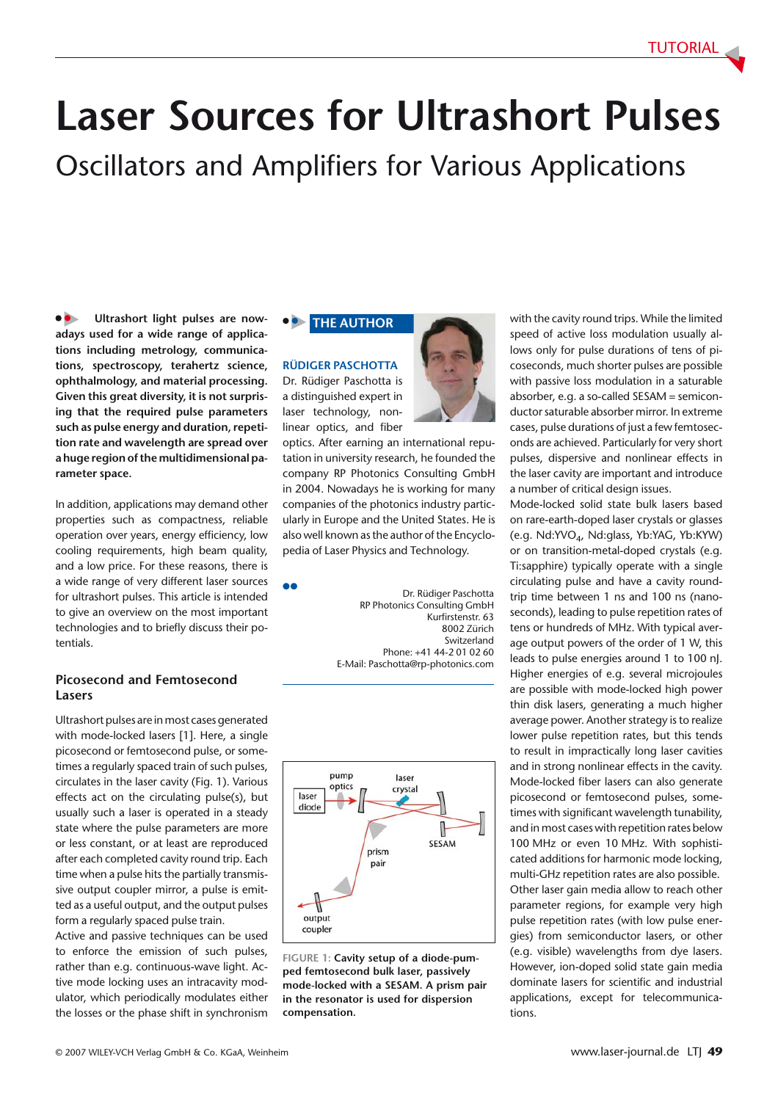# **Laser Sources for Ultrashort Pulses**

Oscillators and Amplifiers for Various Applications

**••** Ultrashort light pulses are now**adays used for a wide range of applications including metrology, communications, spectroscopy, terahertz science, ophthalmology, and material processing. Given this great diversity, it is not surprising that the required pulse parameters such as pulse energy and duration, repetition rate and wavelength are spread over a huge region of the multidimensional parameter space.** 

In addition, applications may demand other properties such as compactness, reliable operation over years, energy efficiency, low cooling requirements, high beam quality, and a low price. For these reasons, there is a wide range of very different laser sources for ultrashort pulses. This article is intended to give an overview on the most important technologies and to briefly discuss their potentials.

#### **Picosecond and Femtosecond Lasers**

Ultrashort pulses are in most cases generated with mode-locked lasers [1]. Here, a single picosecond or femtosecond pulse, or sometimes a regularly spaced train of such pulses, circulates in the laser cavity (Fig. 1). Various effects act on the circulating pulse(s), but usually such a laser is operated in a steady state where the pulse parameters are more or less constant, or at least are reproduced after each completed cavity round trip. Each time when a pulse hits the partially transmissive output coupler mirror, a pulse is emitted as a useful output, and the output pulses form a regularly spaced pulse train.

Active and passive techniques can be used to enforce the emission of such pulses, rather than e.g. continuous-wave light. Active mode locking uses an intracavity modulator, which periodically modulates either the losses or the phase shift in synchronism

## **THE AUTHOR**

**RÜDIGER PASCHOTTA** Dr. Rüdiger Paschotta is a distinguished expert in laser technology, nonlinear optics, and fiber

optics. After earning an international reputation in university research, he founded the company RP Photonics Consulting GmbH in 2004. Nowadays he is working for many companies of the photonics industry particularly in Europe and the United States. He is also well known as the author of the Encyclopedia of Laser Physics and Technology.

Dr. Rüdiger Paschotta RP Photonics Consulting GmbH Kurfirstenstr. 63 8002 Zürich Switzerland Phone: +41 44-2 01 02 60 E-Mail: Paschotta@rp-photonics.com



**FIGURE 1: Cavity setup of a diode-pumped femtosecond bulk laser, passively mode-locked with a SESAM. A prism pair in the resonator is used for dispersion compensation.**



with the cavity round trips. While the limited speed of active loss modulation usually allows only for pulse durations of tens of picoseconds, much shorter pulses are possible with passive loss modulation in a saturable absorber, e.g. a so-called SESAM = semiconductor saturable absorber mirror. In extreme cases, pulse durations of just a few femtoseconds are achieved. Particularly for very short pulses, dispersive and nonlinear effects in the laser cavity are important and introduce a number of critical design issues.

Mode-locked solid state bulk lasers based on rare-earth-doped laser crystals or glasses (e.g. Nd:YVO4, Nd:glass, Yb:YAG, Yb:KYW) or on transition-metal-doped crystals (e.g. Ti:sapphire) typically operate with a single circulating pulse and have a cavity roundtrip time between 1 ns and 100 ns (nanoseconds), leading to pulse repetition rates of tens or hundreds of MHz. With typical average output powers of the order of 1 W, this leads to pulse energies around 1 to 100 nJ. Higher energies of e.g. several microjoules are possible with mode-locked high power thin disk lasers, generating a much higher average power. Another strategy is to realize lower pulse repetition rates, but this tends to result in impractically long laser cavities and in strong nonlinear effects in the cavity. Mode-locked fiber lasers can also generate picosecond or femtosecond pulses, sometimes with significant wavelength tunability, and in most cases with repetition rates below 100 MHz or even 10 MHz. With sophisticated additions for harmonic mode locking, multi-GHz repetition rates are also possible. Other laser gain media allow to reach other parameter regions, for example very high pulse repetition rates (with low pulse energies) from semiconductor lasers, or other (e.g. visible) wavelengths from dye lasers. However, ion-doped solid state gain media dominate lasers for scientific and industrial applications, except for telecommunications.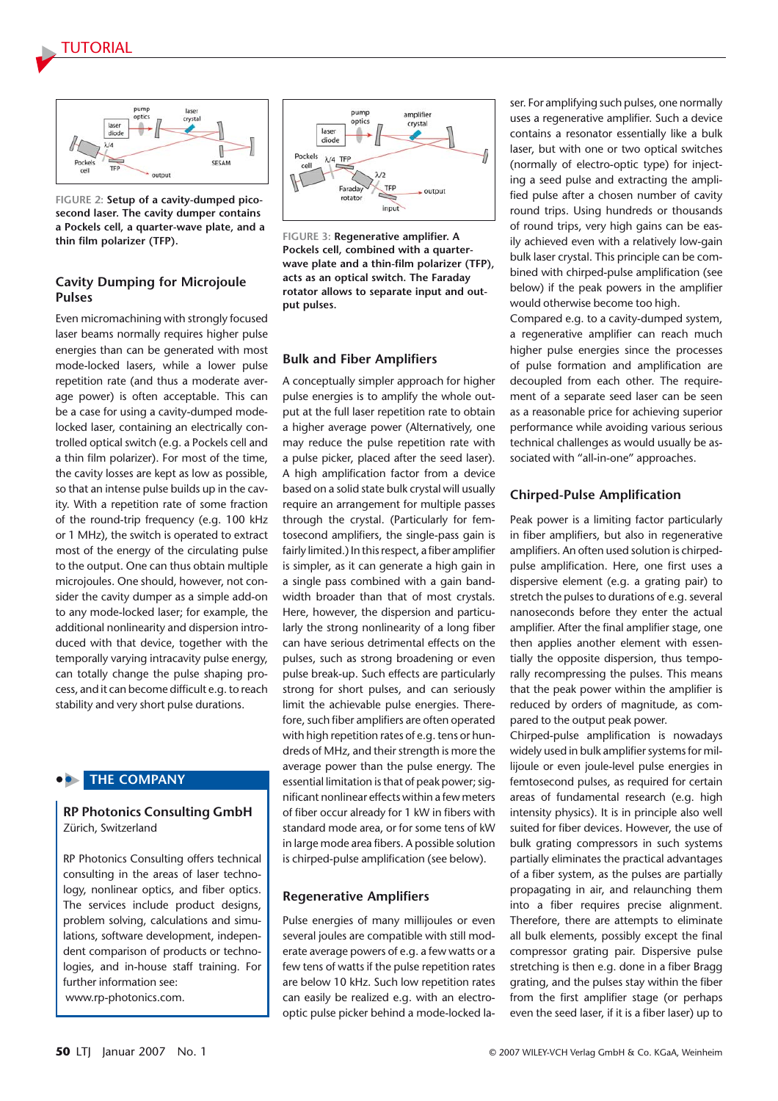

**FIGURE 2: Setup of a cavity-dumped picosecond laser. The cavity dumper contains a Pockels cell, a quarter-wave plate, and a thin film polarizer (TFP). FIGURE 3: Regenerative amplifier. A** 

#### **Cavity Dumping for Microjoule Pulses**

Even micromachining with strongly focused laser beams normally requires higher pulse energies than can be generated with most mode-locked lasers, while a lower pulse repetition rate (and thus a moderate average power) is often acceptable. This can be a case for using a cavity-dumped modelocked laser, containing an electrically controlled optical switch (e.g. a Pockels cell and a thin film polarizer). For most of the time, the cavity losses are kept as low as possible, so that an intense pulse builds up in the cavity. With a repetition rate of some fraction of the round-trip frequency (e.g. 100 kHz or 1 MHz), the switch is operated to extract most of the energy of the circulating pulse to the output. One can thus obtain multiple microjoules. One should, however, not consider the cavity dumper as a simple add-on to any mode-locked laser; for example, the additional nonlinearity and dispersion introduced with that device, together with the temporally varying intracavity pulse energy, can totally change the pulse shaping process, and it can become difficult e.g. to reach stability and very short pulse durations.

#### **THE COMPANY**

#### **RP Photonics Consulting GmbH** Zürich, Switzerland

RP Photonics Consulting offers technical consulting in the areas of laser technology, nonlinear optics, and fiber optics. The services include product designs, problem solving, calculations and simulations, software development, independent comparison of products or technologies, and in-house staff training. For further information see:

www.rp-photonics.com.



**Pockels cell, combined with a quarterwave plate and a thin-film polarizer (TFP), acts as an optical switch. The Faraday rotator allows to separate input and output pulses.**

#### **Bulk and Fiber Amplifiers**

A conceptually simpler approach for higher pulse energies is to amplify the whole output at the full laser repetition rate to obtain a higher average power (Alternatively, one may reduce the pulse repetition rate with a pulse picker, placed after the seed laser). A high amplification factor from a device based on a solid state bulk crystal will usually require an arrangement for multiple passes through the crystal. (Particularly for femtosecond amplifiers, the single-pass gain is fairly limited.) In this respect, a fiber amplifier is simpler, as it can generate a high gain in a single pass combined with a gain bandwidth broader than that of most crystals. Here, however, the dispersion and particularly the strong nonlinearity of a long fiber can have serious detrimental effects on the pulses, such as strong broadening or even pulse break-up. Such effects are particularly strong for short pulses, and can seriously limit the achievable pulse energies. Therefore, such fiber amplifiers are often operated with high repetition rates of e.g. tens or hundreds of MHz, and their strength is more the average power than the pulse energy. The essential limitation is that of peak power; significant nonlinear effects within a few meters of fiber occur already for 1 kW in fibers with standard mode area, or for some tens of kW in large mode area fibers. A possible solution is chirped-pulse amplification (see below).

#### **Regenerative Amplifiers**

Pulse energies of many millijoules or even several joules are compatible with still moderate average powers of e.g. a few watts or a few tens of watts if the pulse repetition rates are below 10 kHz. Such low repetition rates can easily be realized e.g. with an electrooptic pulse picker behind a mode-locked laser. For amplifying such pulses, one normally uses a regenerative amplifier. Such a device contains a resonator essentially like a bulk laser, but with one or two optical switches (normally of electro-optic type) for injecting a seed pulse and extracting the amplified pulse after a chosen number of cavity round trips. Using hundreds or thousands of round trips, very high gains can be easily achieved even with a relatively low-gain bulk laser crystal. This principle can be combined with chirped-pulse amplification (see below) if the peak powers in the amplifier would otherwise become too high.

Compared e.g. to a cavity-dumped system, a regenerative amplifier can reach much higher pulse energies since the processes of pulse formation and amplification are decoupled from each other. The requirement of a separate seed laser can be seen as a reasonable price for achieving superior performance while avoiding various serious technical challenges as would usually be associated with "all-in-one" approaches.

#### **Chirped-Pulse Amplification**

Peak power is a limiting factor particularly in fiber amplifiers, but also in regenerative amplifiers. An often used solution is chirpedpulse amplification. Here, one first uses a dispersive element (e.g. a grating pair) to stretch the pulses to durations of e.g. several nanoseconds before they enter the actual amplifier. After the final amplifier stage, one then applies another element with essentially the opposite dispersion, thus temporally recompressing the pulses. This means that the peak power within the amplifier is reduced by orders of magnitude, as compared to the output peak power.

Chirped-pulse amplification is nowadays widely used in bulk amplifier systems for millijoule or even joule-level pulse energies in femtosecond pulses, as required for certain areas of fundamental research (e.g. high intensity physics). It is in principle also well suited for fiber devices. However, the use of bulk grating compressors in such systems partially eliminates the practical advantages of a fiber system, as the pulses are partially propagating in air, and relaunching them into a fiber requires precise alignment. Therefore, there are attempts to eliminate all bulk elements, possibly except the final compressor grating pair. Dispersive pulse stretching is then e.g. done in a fiber Bragg grating, and the pulses stay within the fiber from the first amplifier stage (or perhaps even the seed laser, if it is a fiber laser) up to